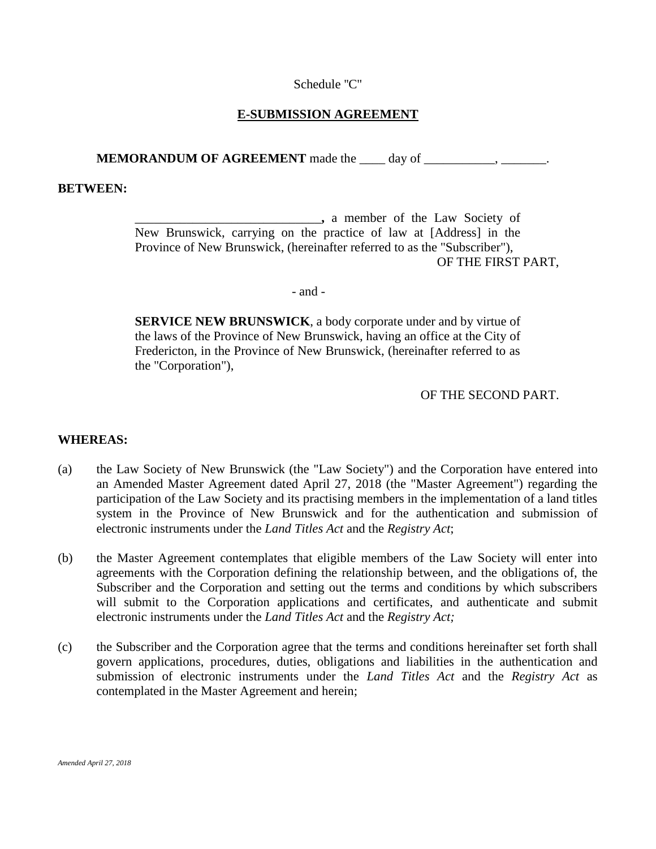### Schedule ''C''

# **E-SUBMISSION AGREEMENT**

**MEMORANDUM OF AGREEMENT** made the \_\_\_\_ day of \_\_\_\_\_\_\_\_

#### **BETWEEN:**

\_\_\_\_\_\_\_\_\_\_\_\_\_\_\_\_\_\_\_\_\_\_\_\_\_\_\_\_\_**,** a member of the Law Society of New Brunswick, carrying on the practice of law at [Address] in the Province of New Brunswick, (hereinafter referred to as the "Subscriber"), OF THE FIRST PART,

#### - and -

**SERVICE NEW BRUNSWICK**, a body corporate under and by virtue of the laws of the Province of New Brunswick, having an office at the City of Fredericton, in the Province of New Brunswick, (hereinafter referred to as the "Corporation"),

### OF THE SECOND PART.

#### **WHEREAS:**

- (a) the Law Society of New Brunswick (the "Law Society") and the Corporation have entered into an Amended Master Agreement dated April 27, 2018 (the "Master Agreement") regarding the participation of the Law Society and its practising members in the implementation of a land titles system in the Province of New Brunswick and for the authentication and submission of electronic instruments under the *Land Titles Act* and the *Registry Act*;
- (b) the Master Agreement contemplates that eligible members of the Law Society will enter into agreements with the Corporation defining the relationship between, and the obligations of, the Subscriber and the Corporation and setting out the terms and conditions by which subscribers will submit to the Corporation applications and certificates, and authenticate and submit electronic instruments under the *Land Titles Act* and the *Registry Act;*
- (c) the Subscriber and the Corporation agree that the terms and conditions hereinafter set forth shall govern applications, procedures, duties, obligations and liabilities in the authentication and submission of electronic instruments under the *Land Titles Act* and the *Registry Act* as contemplated in the Master Agreement and herein;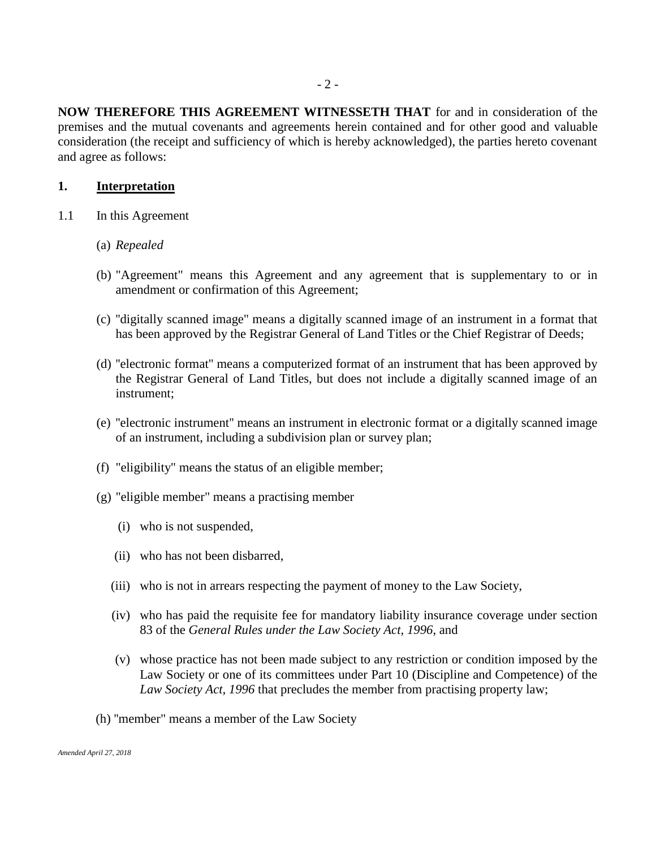**NOW THEREFORE THIS AGREEMENT WITNESSETH THAT** for and in consideration of the premises and the mutual covenants and agreements herein contained and for other good and valuable consideration (the receipt and sufficiency of which is hereby acknowledged), the parties hereto covenant and agree as follows:

### **1. Interpretation**

- 1.1 In this Agreement
	- (a) *Repealed*
	- (b) "Agreement" means this Agreement and any agreement that is supplementary to or in amendment or confirmation of this Agreement;
	- (c) ''digitally scanned image'' means a digitally scanned image of an instrument in a format that has been approved by the Registrar General of Land Titles or the Chief Registrar of Deeds;
	- (d) ''electronic format'' means a computerized format of an instrument that has been approved by the Registrar General of Land Titles, but does not include a digitally scanned image of an instrument;
	- (e) ''electronic instrument'' means an instrument in electronic format or a digitally scanned image of an instrument, including a subdivision plan or survey plan;
	- (f) "eligibility" means the status of an eligible member;
	- (g) "eligible member" means a practising member
		- (i) who is not suspended,
		- (ii) who has not been disbarred,
		- (iii) who is not in arrears respecting the payment of money to the Law Society,
		- (iv) who has paid the requisite fee for mandatory liability insurance coverage under section 83 of the *General Rules under the Law Society Act, 1996*, and
		- (v) whose practice has not been made subject to any restriction or condition imposed by the Law Society or one of its committees under Part 10 (Discipline and Competence) of the *Law Society Act, 1996* that precludes the member from practising property law;
	- (h) ''member" means a member of the Law Society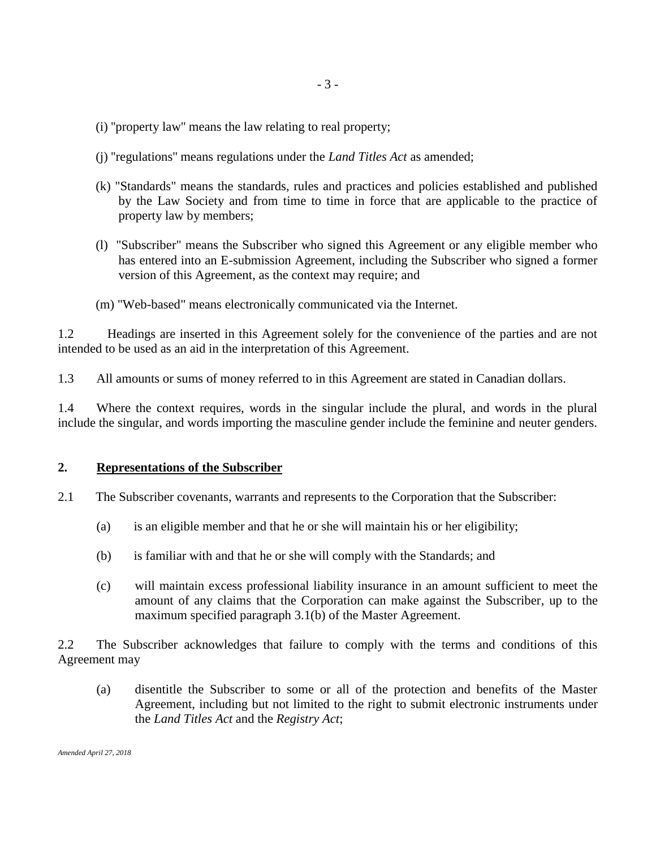- (i) ''property law'' means the law relating to real property;
- (j) ''regulations'' means regulations under the *Land Titles Act* as amended;
- (k) "Standards" means the standards, rules and practices and policies established and published by the Law Society and from time to time in force that are applicable to the practice of property law by members;
- (l) "Subscriber" means the Subscriber who signed this Agreement or any eligible member who has entered into an E-submission Agreement, including the Subscriber who signed a former version of this Agreement, as the context may require; and
- (m) "Web-based" means electronically communicated via the Internet.

1.2 Headings are inserted in this Agreement solely for the convenience of the parties and are not intended to be used as an aid in the interpretation of this Agreement.

1.3 All amounts or sums of money referred to in this Agreement are stated in Canadian dollars.

1.4 Where the context requires, words in the singular include the plural, and words in the plural include the singular, and words importing the masculine gender include the feminine and neuter genders.

# **2. Representations of the Subscriber**

- 2.1 The Subscriber covenants, warrants and represents to the Corporation that the Subscriber:
	- (a) is an eligible member and that he or she will maintain his or her eligibility;
	- (b) is familiar with and that he or she will comply with the Standards; and
	- (c) will maintain excess professional liability insurance in an amount sufficient to meet the amount of any claims that the Corporation can make against the Subscriber, up to the maximum specified paragraph 3.1(b) of the Master Agreement.

2.2 The Subscriber acknowledges that failure to comply with the terms and conditions of this Agreement may

(a) disentitle the Subscriber to some or all of the protection and benefits of the Master Agreement, including but not limited to the right to submit electronic instruments under the *Land Titles Act* and the *Registry Act*;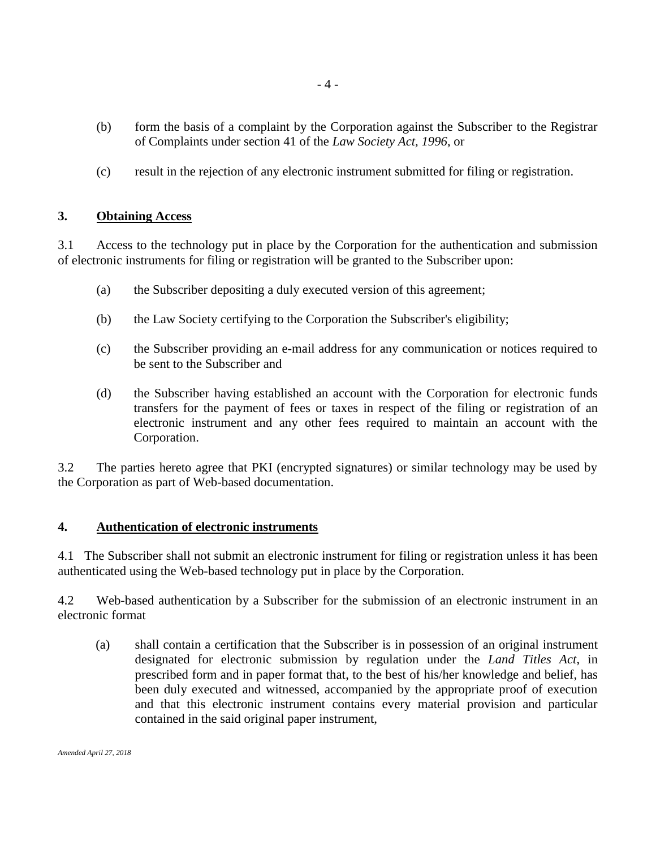- (b) form the basis of a complaint by the Corporation against the Subscriber to the Registrar of Complaints under section 41 of the *Law Society Act, 1996*, or
- (c) result in the rejection of any electronic instrument submitted for filing or registration.

## **3. Obtaining Access**

3.1 Access to the technology put in place by the Corporation for the authentication and submission of electronic instruments for filing or registration will be granted to the Subscriber upon:

- (a) the Subscriber depositing a duly executed version of this agreement;
- (b) the Law Society certifying to the Corporation the Subscriber's eligibility;
- (c) the Subscriber providing an e-mail address for any communication or notices required to be sent to the Subscriber and
- (d) the Subscriber having established an account with the Corporation for electronic funds transfers for the payment of fees or taxes in respect of the filing or registration of an electronic instrument and any other fees required to maintain an account with the Corporation.

3.2 The parties hereto agree that PKI (encrypted signatures) or similar technology may be used by the Corporation as part of Web-based documentation.

### **4. Authentication of electronic instruments**

4.1 The Subscriber shall not submit an electronic instrument for filing or registration unless it has been authenticated using the Web-based technology put in place by the Corporation.

4.2 Web-based authentication by a Subscriber for the submission of an electronic instrument in an electronic format

(a) shall contain a certification that the Subscriber is in possession of an original instrument designated for electronic submission by regulation under the *Land Titles Act*, in prescribed form and in paper format that, to the best of his/her knowledge and belief, has been duly executed and witnessed, accompanied by the appropriate proof of execution and that this electronic instrument contains every material provision and particular contained in the said original paper instrument,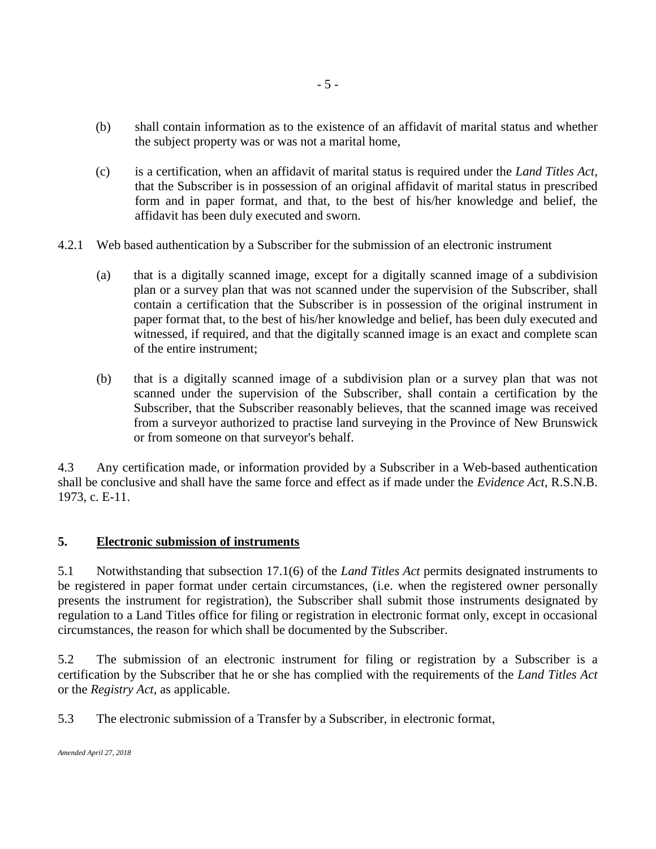- (b) shall contain information as to the existence of an affidavit of marital status and whether the subject property was or was not a marital home,
- (c) is a certification, when an affidavit of marital status is required under the *Land Titles Act*, that the Subscriber is in possession of an original affidavit of marital status in prescribed form and in paper format, and that, to the best of his/her knowledge and belief, the affidavit has been duly executed and sworn.
- 4.2.1 Web based authentication by a Subscriber for the submission of an electronic instrument
	- (a) that is a digitally scanned image, except for a digitally scanned image of a subdivision plan or a survey plan that was not scanned under the supervision of the Subscriber, shall contain a certification that the Subscriber is in possession of the original instrument in paper format that, to the best of his/her knowledge and belief, has been duly executed and witnessed, if required, and that the digitally scanned image is an exact and complete scan of the entire instrument;
	- (b) that is a digitally scanned image of a subdivision plan or a survey plan that was not scanned under the supervision of the Subscriber, shall contain a certification by the Subscriber, that the Subscriber reasonably believes, that the scanned image was received from a surveyor authorized to practise land surveying in the Province of New Brunswick or from someone on that surveyor's behalf.

4.3 Any certification made, or information provided by a Subscriber in a Web-based authentication shall be conclusive and shall have the same force and effect as if made under the *Evidence Act*, R.S.N.B. 1973, c. E-11.

### **5. Electronic submission of instruments**

5.1 Notwithstanding that subsection 17.1(6) of the *Land Titles Act* permits designated instruments to be registered in paper format under certain circumstances, (i.e. when the registered owner personally presents the instrument for registration), the Subscriber shall submit those instruments designated by regulation to a Land Titles office for filing or registration in electronic format only, except in occasional circumstances, the reason for which shall be documented by the Subscriber.

5.2 The submission of an electronic instrument for filing or registration by a Subscriber is a certification by the Subscriber that he or she has complied with the requirements of the *Land Titles Act* or the *Registry Act*, as applicable.

5.3 The electronic submission of a Transfer by a Subscriber, in electronic format,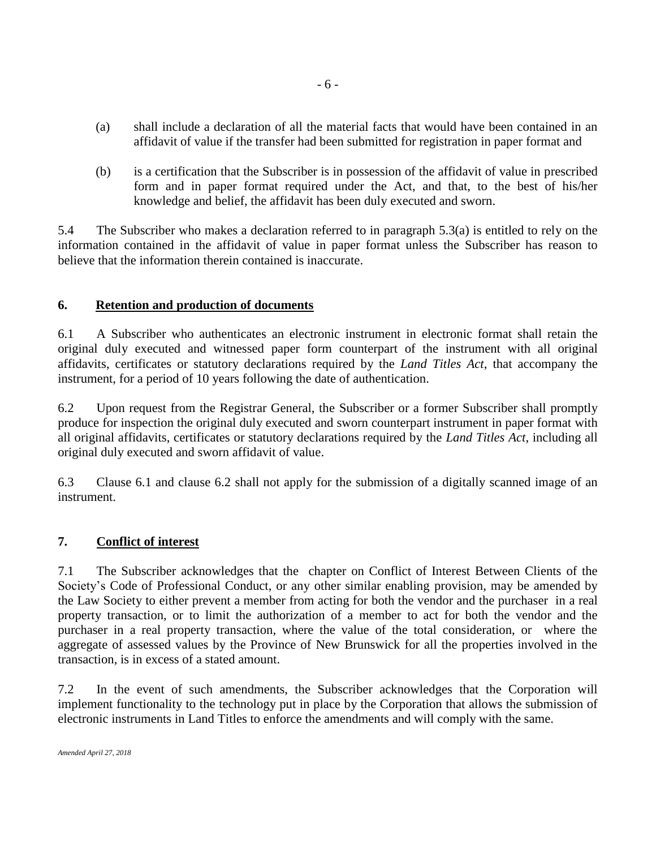- (a) shall include a declaration of all the material facts that would have been contained in an affidavit of value if the transfer had been submitted for registration in paper format and
- (b) is a certification that the Subscriber is in possession of the affidavit of value in prescribed form and in paper format required under the Act, and that, to the best of his/her knowledge and belief, the affidavit has been duly executed and sworn.

5.4 The Subscriber who makes a declaration referred to in paragraph 5.3(a) is entitled to rely on the information contained in the affidavit of value in paper format unless the Subscriber has reason to believe that the information therein contained is inaccurate.

## **6. Retention and production of documents**

6.1 A Subscriber who authenticates an electronic instrument in electronic format shall retain the original duly executed and witnessed paper form counterpart of the instrument with all original affidavits, certificates or statutory declarations required by the *Land Titles Act*, that accompany the instrument, for a period of 10 years following the date of authentication.

6.2 Upon request from the Registrar General, the Subscriber or a former Subscriber shall promptly produce for inspection the original duly executed and sworn counterpart instrument in paper format with all original affidavits, certificates or statutory declarations required by the *Land Titles Act*, including all original duly executed and sworn affidavit of value.

6.3 Clause 6.1 and clause 6.2 shall not apply for the submission of a digitally scanned image of an instrument.

# **7. Conflict of interest**

7.1 The Subscriber acknowledges that the chapter on Conflict of Interest Between Clients of the Society's Code of Professional Conduct, or any other similar enabling provision, may be amended by the Law Society to either prevent a member from acting for both the vendor and the purchaser in a real property transaction, or to limit the authorization of a member to act for both the vendor and the purchaser in a real property transaction, where the value of the total consideration, or where the aggregate of assessed values by the Province of New Brunswick for all the properties involved in the transaction, is in excess of a stated amount.

7.2 In the event of such amendments, the Subscriber acknowledges that the Corporation will implement functionality to the technology put in place by the Corporation that allows the submission of electronic instruments in Land Titles to enforce the amendments and will comply with the same.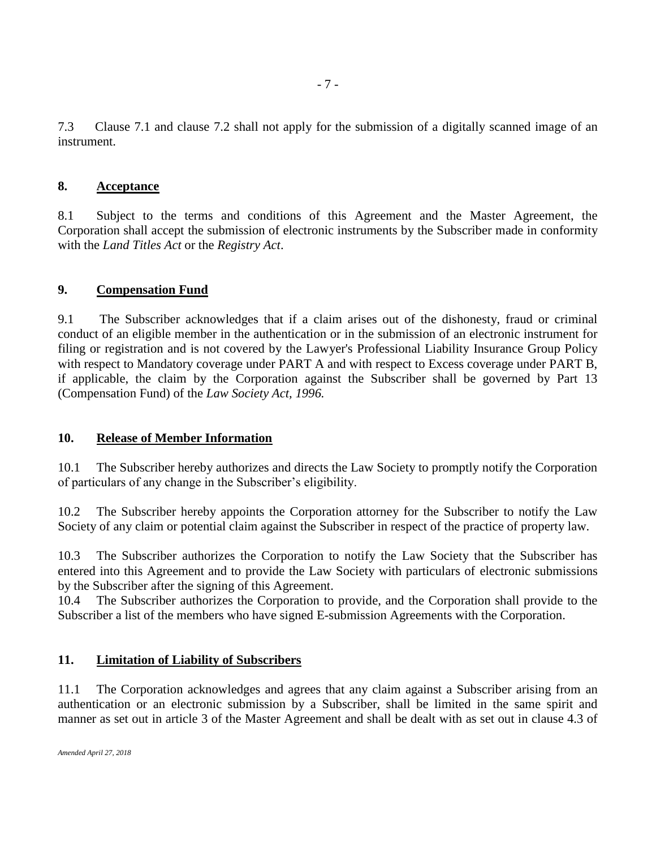7.3 Clause 7.1 and clause 7.2 shall not apply for the submission of a digitally scanned image of an instrument.

## **8. Acceptance**

8.1 Subject to the terms and conditions of this Agreement and the Master Agreement, the Corporation shall accept the submission of electronic instruments by the Subscriber made in conformity with the *Land Titles Act* or the *Registry Act*.

## **9. Compensation Fund**

9.1 The Subscriber acknowledges that if a claim arises out of the dishonesty, fraud or criminal conduct of an eligible member in the authentication or in the submission of an electronic instrument for filing or registration and is not covered by the Lawyer's Professional Liability Insurance Group Policy with respect to Mandatory coverage under PART A and with respect to Excess coverage under PART B, if applicable, the claim by the Corporation against the Subscriber shall be governed by Part 13 (Compensation Fund) of the *Law Society Act, 1996.*

### **10. Release of Member Information**

10.1 The Subscriber hereby authorizes and directs the Law Society to promptly notify the Corporation of particulars of any change in the Subscriber's eligibility.

10.2 The Subscriber hereby appoints the Corporation attorney for the Subscriber to notify the Law Society of any claim or potential claim against the Subscriber in respect of the practice of property law.

10.3 The Subscriber authorizes the Corporation to notify the Law Society that the Subscriber has entered into this Agreement and to provide the Law Society with particulars of electronic submissions by the Subscriber after the signing of this Agreement.

10.4 The Subscriber authorizes the Corporation to provide, and the Corporation shall provide to the Subscriber a list of the members who have signed E-submission Agreements with the Corporation.

### **11. Limitation of Liability of Subscribers**

11.1 The Corporation acknowledges and agrees that any claim against a Subscriber arising from an authentication or an electronic submission by a Subscriber, shall be limited in the same spirit and manner as set out in article 3 of the Master Agreement and shall be dealt with as set out in clause 4.3 of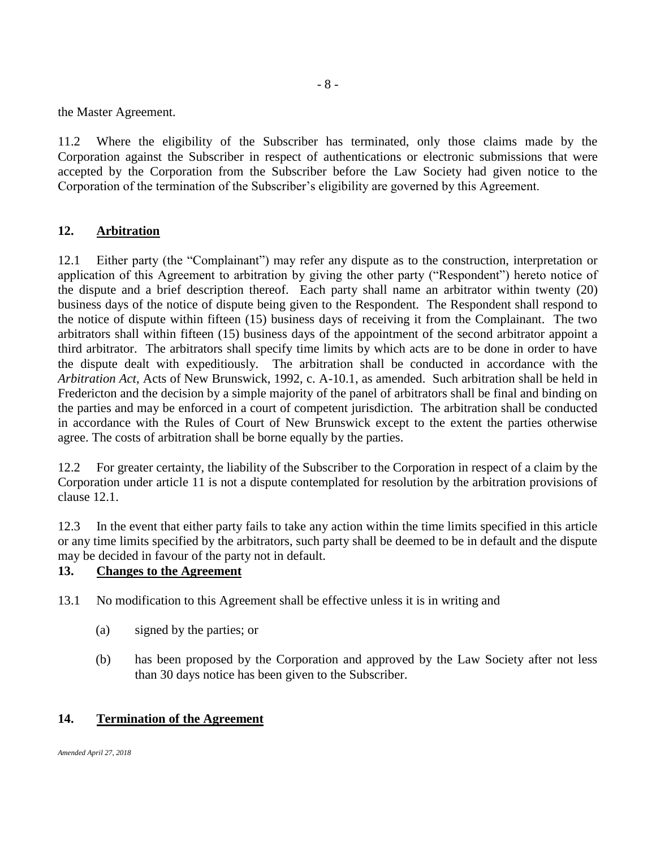the Master Agreement.

11.2 Where the eligibility of the Subscriber has terminated, only those claims made by the Corporation against the Subscriber in respect of authentications or electronic submissions that were accepted by the Corporation from the Subscriber before the Law Society had given notice to the Corporation of the termination of the Subscriber's eligibility are governed by this Agreement.

### **12. Arbitration**

12.1 Either party (the "Complainant") may refer any dispute as to the construction, interpretation or application of this Agreement to arbitration by giving the other party ("Respondent") hereto notice of the dispute and a brief description thereof. Each party shall name an arbitrator within twenty (20) business days of the notice of dispute being given to the Respondent. The Respondent shall respond to the notice of dispute within fifteen (15) business days of receiving it from the Complainant. The two arbitrators shall within fifteen (15) business days of the appointment of the second arbitrator appoint a third arbitrator. The arbitrators shall specify time limits by which acts are to be done in order to have the dispute dealt with expeditiously. The arbitration shall be conducted in accordance with the *Arbitration Act*, Acts of New Brunswick, 1992, c. A-10.1, as amended. Such arbitration shall be held in Fredericton and the decision by a simple majority of the panel of arbitrators shall be final and binding on the parties and may be enforced in a court of competent jurisdiction. The arbitration shall be conducted in accordance with the Rules of Court of New Brunswick except to the extent the parties otherwise agree. The costs of arbitration shall be borne equally by the parties.

12.2 For greater certainty, the liability of the Subscriber to the Corporation in respect of a claim by the Corporation under article 11 is not a dispute contemplated for resolution by the arbitration provisions of clause 12.1.

12.3 In the event that either party fails to take any action within the time limits specified in this article or any time limits specified by the arbitrators, such party shall be deemed to be in default and the dispute may be decided in favour of the party not in default.

## **13. Changes to the Agreement**

- 13.1 No modification to this Agreement shall be effective unless it is in writing and
	- (a) signed by the parties; or
	- (b) has been proposed by the Corporation and approved by the Law Society after not less than 30 days notice has been given to the Subscriber.

# **14. Termination of the Agreement**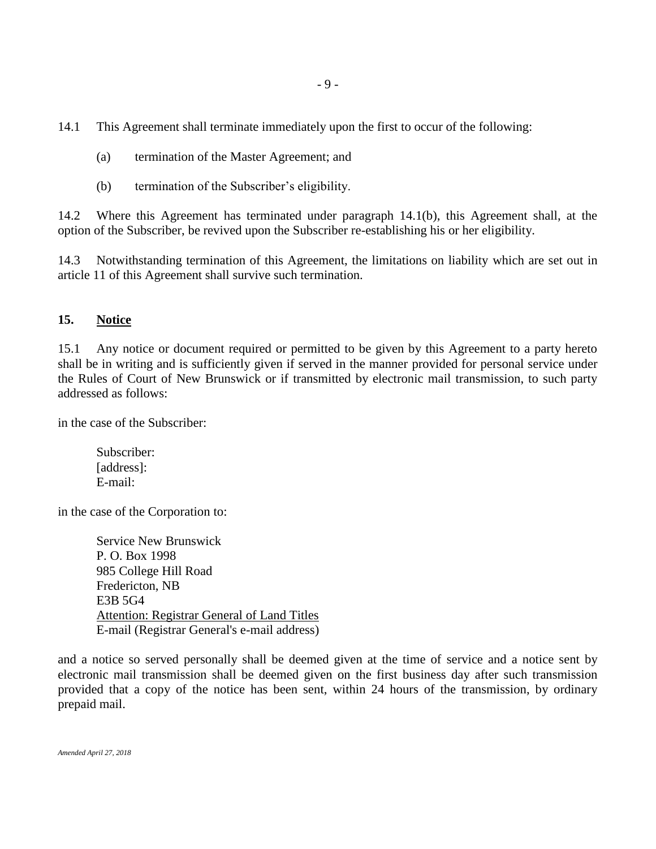14.1 This Agreement shall terminate immediately upon the first to occur of the following:

- (a) termination of the Master Agreement; and
- (b) termination of the Subscriber's eligibility.

14.2 Where this Agreement has terminated under paragraph 14.1(b), this Agreement shall, at the option of the Subscriber, be revived upon the Subscriber re-establishing his or her eligibility.

14.3 Notwithstanding termination of this Agreement, the limitations on liability which are set out in article 11 of this Agreement shall survive such termination.

## **15. Notice**

15.1 Any notice or document required or permitted to be given by this Agreement to a party hereto shall be in writing and is sufficiently given if served in the manner provided for personal service under the Rules of Court of New Brunswick or if transmitted by electronic mail transmission, to such party addressed as follows:

in the case of the Subscriber:

Subscriber: [address]: E-mail:

in the case of the Corporation to:

Service New Brunswick P. O. Box 1998 985 College Hill Road Fredericton, NB E3B 5G4 Attention: Registrar General of Land Titles E-mail (Registrar General's e-mail address)

and a notice so served personally shall be deemed given at the time of service and a notice sent by electronic mail transmission shall be deemed given on the first business day after such transmission provided that a copy of the notice has been sent, within 24 hours of the transmission, by ordinary prepaid mail.

*Amended April 27, 2018*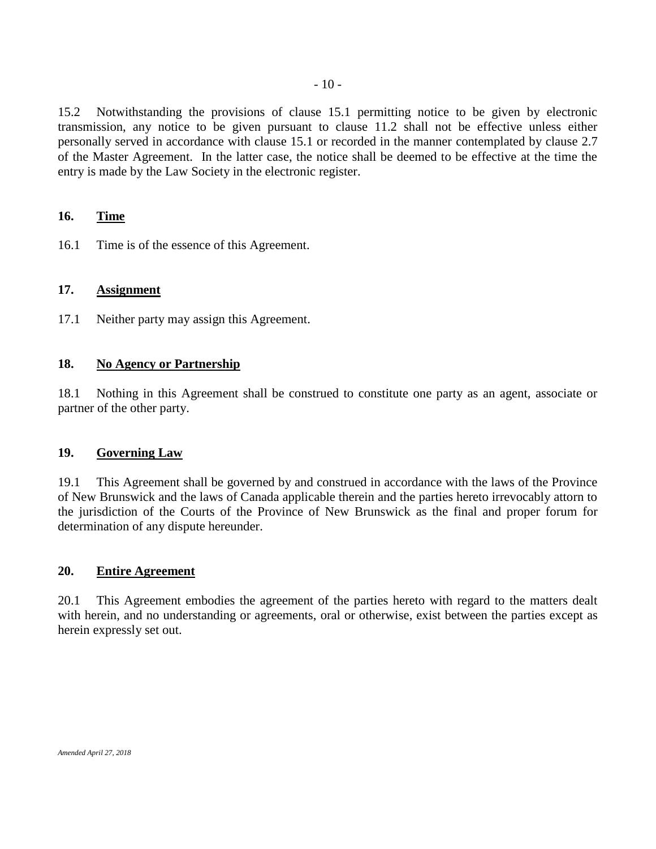15.2 Notwithstanding the provisions of clause 15.1 permitting notice to be given by electronic transmission, any notice to be given pursuant to clause 11.2 shall not be effective unless either personally served in accordance with clause 15.1 or recorded in the manner contemplated by clause 2.7 of the Master Agreement. In the latter case, the notice shall be deemed to be effective at the time the entry is made by the Law Society in the electronic register.

## **16. Time**

16.1 Time is of the essence of this Agreement.

### **17. Assignment**

17.1 Neither party may assign this Agreement.

#### **18. No Agency or Partnership**

18.1 Nothing in this Agreement shall be construed to constitute one party as an agent, associate or partner of the other party.

#### **19. Governing Law**

19.1 This Agreement shall be governed by and construed in accordance with the laws of the Province of New Brunswick and the laws of Canada applicable therein and the parties hereto irrevocably attorn to the jurisdiction of the Courts of the Province of New Brunswick as the final and proper forum for determination of any dispute hereunder.

#### **20. Entire Agreement**

20.1 This Agreement embodies the agreement of the parties hereto with regard to the matters dealt with herein, and no understanding or agreements, oral or otherwise, exist between the parties except as herein expressly set out.